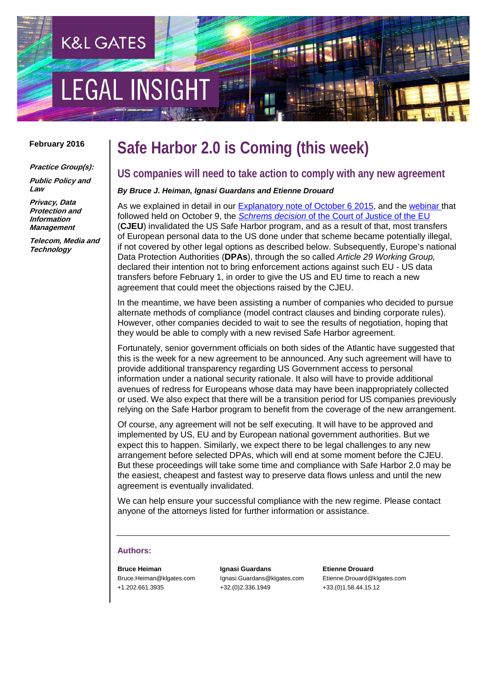# **EGAL INSIGH**

**K&L GATES** 

#### **February 2016**

**Practice Group(s): Public Policy and Law**

**Privacy, Data Protection and Information Management**

**Telecom, Media and Technology**

### **Safe Harbor 2.0 is Coming (this week)**

#### **US companies will need to take action to comply with any new agreement**

#### *By Bruce J. Heiman, Ignasi Guardans and Etienne Drouard*

As we explained in detail in our [Explanatory note of October 6 2015,](http://www.klgateshub.com/details/?pub=Did-the-ECJ-Kill-the-Safe-Harbor-Framework-on-EU-US-Data-Transfers-10-06-2015) and the [webinar t](http://www.klgateshub.com/details/?media=36537a01-79b2-4653-a732-f92ae1ad6631)hat followed held on October 9, the *Schrems decision* [of the Court of Justice of the EU](http://curia.europa.eu/jcms/upload/docs/application/pdf/2015-10/cp150117en.pdf) (**CJEU**) invalidated the US Safe Harbor program, and as a result of that, most transfers of European personal data to the US done under that scheme became potentially illegal, if not covered by other legal options as described below. Subsequently, Europe's national Data Protection Authorities (**DPAs**), through the so called *Article 29 Working Group,* declared their intention not to bring enforcement actions against such EU - US data transfers before February 1, in order to give the US and EU time to reach a new agreement that could meet the objections raised by the CJEU.

In the meantime, we have been assisting a number of companies who decided to pursue alternate methods of compliance (model contract clauses and binding corporate rules). However, other companies decided to wait to see the results of negotiation, hoping that they would be able to comply with a new revised Safe Harbor agreement.

Fortunately, senior government officials on both sides of the Atlantic have suggested that this is the week for a new agreement to be announced. Any such agreement will have to provide additional transparency regarding US Government access to personal information under a national security rationale. It also will have to provide additional avenues of redress for Europeans whose data may have been inappropriately collected or used. We also expect that there will be a transition period for US companies previously relying on the Safe Harbor program to benefit from the coverage of the new arrangement.

Of course, any agreement will not be self executing. It will have to be approved and implemented by US, EU and by European national government authorities. But we expect this to happen. Similarly, we expect there to be legal challenges to any new arrangement before selected DPAs, which will end at some moment before the CJEU. But these proceedings will take some time and compliance with Safe Harbor 2.0 may be the easiest, cheapest and fastest way to preserve data flows unless and until the new agreement is eventually invalidated.

We can help ensure your successful compliance with the new regime. Please contact anyone of the attorneys listed for further information or assistance.

#### **Authors:**

**Bruce Heiman** Bruce.Heiman@klgates.com +1.202.661.3935

**Ignasi Guardans** Ignasi.Guardans@klgates.com +32.(0)2.336.1949

**Etienne Drouard** Etienne.Drouard@klgates.com +33.(0)1.58.44.15.12